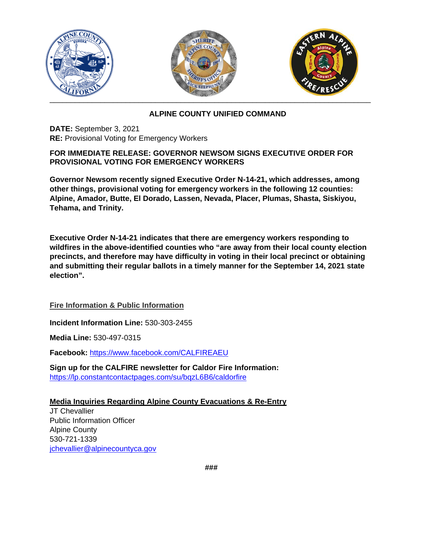

## **ALPINE COUNTY UNIFIED COMMAND**

**DATE:** September 3, 2021 **RE:** Provisional Voting for Emergency Workers

## **FOR IMMEDIATE RELEASE: GOVERNOR NEWSOM SIGNS EXECUTIVE ORDER FOR PROVISIONAL VOTING FOR EMERGENCY WORKERS**

**Governor Newsom recently signed Executive Order N-14-21, which addresses, among other things, provisional voting for emergency workers in the following 12 counties: Alpine, Amador, Butte, El Dorado, Lassen, Nevada, Placer, Plumas, Shasta, Siskiyou, Tehama, and Trinity.**

**Executive Order N-14-21 indicates that there are emergency workers responding to wildfires in the above-identified counties who "are away from their local county election precincts, and therefore may have difficulty in voting in their local precinct or obtaining and submitting their regular ballots in a timely manner for the September 14, 2021 state election".**

**Fire Information & Public Information** 

**Incident Information Line:** 530-303-2455

**Media Line:** 530-497-0315

**Facebook:** [https://www.facebook.com/CALFIREAEU](https://www.facebook.com/CALFIREAEU/?__cft__%5b0%5d=AZVfM8Mh_y_euzfCb1wEiQI0r8eZDGWR_THit56pohBNPoefGkwAIpAl-gb4QQVe_0WpjYGKbmk7Q5Oz45mz_XkFLjit37h9DiWXlrttUye29mt4Aoa0syNTAuTjCVbleuVxcSrv5y8bMBjTKLK9XhJKxQN2NzcjQMY6mngEtcFRcg&__tn__=kK-R)

**Sign up for the CALFIRE newsletter for Caldor Fire Information:**  [https://lp.constantcontactpages.com/su/bqzL6B6/caldorfire](https://lp.constantcontactpages.com/su/bqzL6B6/caldorfire?fbclid=IwAR3aWGdpHXAbl69UgEYU-QXvgXH8R4AC7alVnwHQbewQL0mpy47WR9LfUls)

## **Media Inquiries Regarding Alpine County Evacuations & Re-Entry**

JT Chevallier Public Information Officer Alpine County 530-721-1339 [jchevallier@alpinecountyca.gov](mailto:jchevallier@alpinecountyca.gov)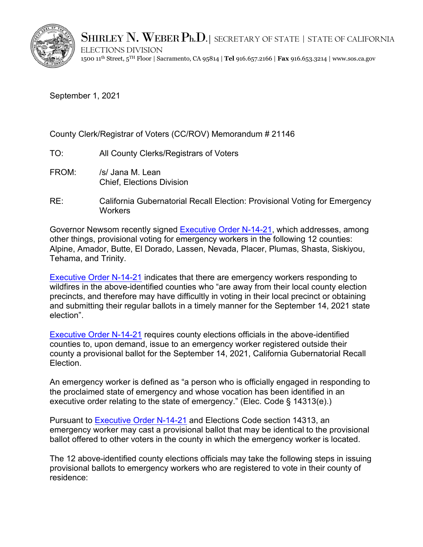

SHIRLEY  $N$ . WEBER  $P_{h.D.}$  | secretary of state | state of california

ELECTIONS DIVISION 1500 11th Street, 5TH Floor | Sacramento, CA 95814 | **Tel** 916.657.2166 | **Fax** 916.653.3214 | www.sos.ca.gov

September 1, 2021

## County Clerk/Registrar of Voters (CC/ROV) Memorandum # 21146

- TO: All County Clerks/Registrars of Voters
- FROM: /s/ Jana M. Lean Chief, Elections Division
- RE: California Gubernatorial Recall Election: Provisional Voting for Emergency **Workers**

Governor Newsom recently signed [Executive Order](https://elections.cdn.sos.ca.gov/statewide-elections/2021-recall/eo-emergency-workers.pdf) N-14-21, which addresses, among other things, provisional voting for emergency workers in the following 12 counties: Alpine, Amador, Butte, El Dorado, Lassen, Nevada, Placer, Plumas, Shasta, Siskiyou, Tehama, and Trinity.

[Executive Order N-14-21](https://elections.cdn.sos.ca.gov/statewide-elections/2021-recall/eo-emergency-workers.pdf) indicates that there are emergency workers responding to wildfires in the above-identified counties who "are away from their local county election precincts, and therefore may have difficultly in voting in their local precinct or obtaining and submitting their regular ballots in a timely manner for the September 14, 2021 state election".

[Executive Order N-14-21](https://elections.cdn.sos.ca.gov/statewide-elections/2021-recall/eo-emergency-workers.pdf) requires county elections officials in the above-identified counties to, upon demand, issue to an emergency worker registered outside their county a provisional ballot for the September 14, 2021, California Gubernatorial Recall Election.

An emergency worker is defined as "a person who is officially engaged in responding to the proclaimed state of emergency and whose vocation has been identified in an executive order relating to the state of emergency." (Elec. Code § 14313(e).)

Pursuant to [Executive Order](https://elections.cdn.sos.ca.gov/statewide-elections/2021-recall/eo-emergency-workers.pdf) N-14-21 and Elections Code section 14313, an emergency worker may cast a provisional ballot that may be identical to the provisional ballot offered to other voters in the county in which the emergency worker is located.

The 12 above-identified county elections officials may take the following steps in issuing provisional ballots to emergency workers who are registered to vote in their county of residence: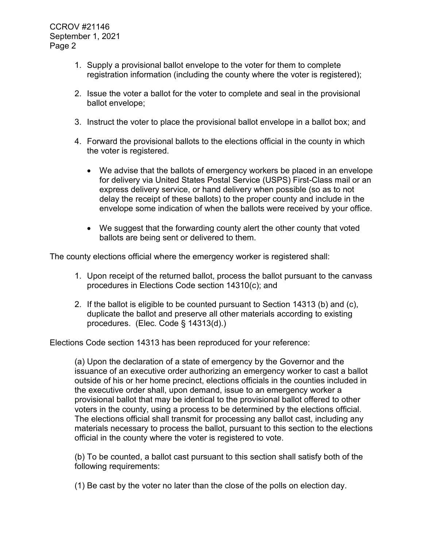- 1. Supply a provisional ballot envelope to the voter for them to complete registration information (including the county where the voter is registered);
- 2. Issue the voter a ballot for the voter to complete and seal in the provisional ballot envelope;
- 3. Instruct the voter to place the provisional ballot envelope in a ballot box; and
- 4. Forward the provisional ballots to the elections official in the county in which the voter is registered.
	- We advise that the ballots of emergency workers be placed in an envelope for delivery via United States Postal Service (USPS) First-Class mail or an express delivery service, or hand delivery when possible (so as to not delay the receipt of these ballots) to the proper county and include in the envelope some indication of when the ballots were received by your office.
	- We suggest that the forwarding county alert the other county that voted ballots are being sent or delivered to them.

The county elections official where the emergency worker is registered shall:

- 1. Upon receipt of the returned ballot, process the ballot pursuant to the canvass procedures in Elections Code section 14310(c); and
- 2. If the ballot is eligible to be counted pursuant to Section 14313 (b) and (c), duplicate the ballot and preserve all other materials according to existing procedures. (Elec. Code § 14313(d).)

Elections Code section 14313 has been reproduced for your reference:

(a) Upon the declaration of a state of emergency by the Governor and the issuance of an executive order authorizing an emergency worker to cast a ballot outside of his or her home precinct, elections officials in the counties included in the executive order shall, upon demand, issue to an emergency worker a provisional ballot that may be identical to the provisional ballot offered to other voters in the county, using a process to be determined by the elections official. The elections official shall transmit for processing any ballot cast, including any materials necessary to process the ballot, pursuant to this section to the elections official in the county where the voter is registered to vote.

(b) To be counted, a ballot cast pursuant to this section shall satisfy both of the following requirements:

(1) Be cast by the voter no later than the close of the polls on election day.